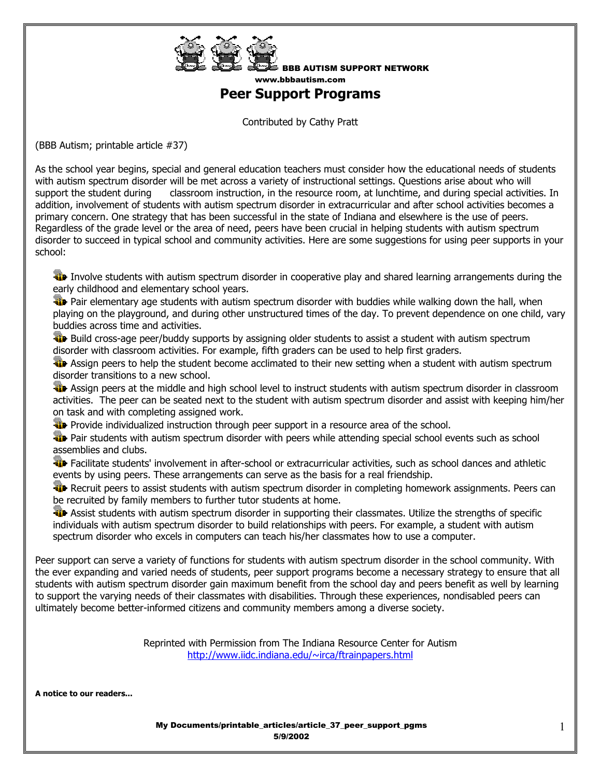

BBB AUTISM SUPPORT NETWORK www.bbbautism.com

## **Peer Support Programs**

Contributed by Cathy Pratt

(BBB Autism; printable article #37)

As the school year begins, special and general education teachers must consider how the educational needs of students with autism spectrum disorder will be met across a variety of instructional settings. Questions arise about who will support the student during classroom instruction, in the resource room, at lunchtime, and during special activities. In addition, involvement of students with autism spectrum disorder in extracurricular and after school activities becomes a primary concern. One strategy that has been successful in the state of Indiana and elsewhere is the use of peers. Regardless of the grade level or the area of need, peers have been crucial in helping students with autism spectrum disorder to succeed in typical school and community activities. Here are some suggestions for using peer supports in your school:

 Involve students with autism spectrum disorder in cooperative play and shared learning arrangements during the early childhood and elementary school years.

**Pair elementary age students with autism spectrum disorder with buddies while walking down the hall, when** playing on the playground, and during other unstructured times of the day. To prevent dependence on one child, vary buddies across time and activities.

**Build cross-age peer/buddy supports by assigning older students to assist a student with autism spectrum** disorder with classroom activities. For example, fifth graders can be used to help first graders.

 Assign peers to help the student become acclimated to their new setting when a student with autism spectrum disorder transitions to a new school.

Assign peers at the middle and high school level to instruct students with autism spectrum disorder in classroom activities. The peer can be seated next to the student with autism spectrum disorder and assist with keeping him/her on task and with completing assigned work.

**Provide individualized instruction through peer support in a resource area of the school.** 

**Pair Students with autism spectrum disorder with peers while attending special school events such as school** assemblies and clubs.

Facilitate students' involvement in after-school or extracurricular activities, such as school dances and athletic events by using peers. These arrangements can serve as the basis for a real friendship.

**Recruit peers to assist students with autism spectrum disorder in completing homework assignments. Peers can** be recruited by family members to further tutor students at home.

**Assist students with autism spectrum disorder in supporting their classmates. Utilize the strengths of specific** individuals with autism spectrum disorder to build relationships with peers. For example, a student with autism spectrum disorder who excels in computers can teach his/her classmates how to use a computer.

Peer support can serve a variety of functions for students with autism spectrum disorder in the school community. With the ever expanding and varied needs of students, peer support programs become a necessary strategy to ensure that all students with autism spectrum disorder gain maximum benefit from the school day and peers benefit as well by learning to support the varying needs of their classmates with disabilities. Through these experiences, nondisabled peers can ultimately become better-informed citizens and community members among a diverse society.

> Reprinted with Permission from The Indiana Resource Center for Autism http://www.iidc.indiana.edu/~irca/ftrainpapers.html

**A notice to our readers...** 

My Documents/printable\_articles/article\_37\_peer\_support\_pgms 5/9/2002